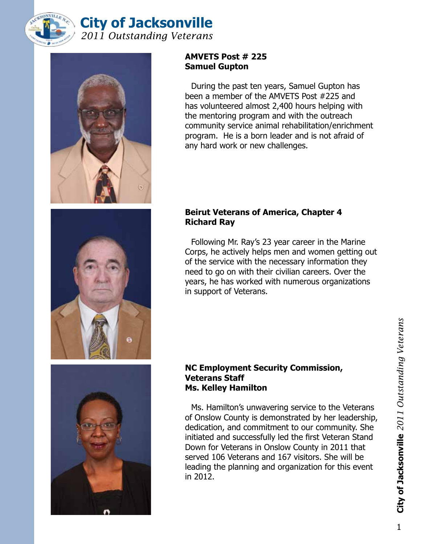



# **AMVETS Post # 225 Samuel Gupton**

During the past ten years, Samuel Gupton has been a member of the AMVETS Post #225 and has volunteered almost 2,400 hours helping with the mentoring program and with the outreach community service animal rehabilitation/enrichment program. He is a born leader and is not afraid of any hard work or new challenges.





# **Beirut Veterans of America, Chapter 4 Richard Ray**

Following Mr. Ray's 23 year career in the Marine Corps, he actively helps men and women getting out of the service with the necessary information they need to go on with their civilian careers. Over the years, he has worked with numerous organizations in support of Veterans.

## **NC Employment Security Commission, Veterans Staff Ms. Kelley Hamilton**

Ms. Hamilton's unwavering service to the Veterans of Onslow County is demonstrated by her leadership, dedication, and commitment to our community. She initiated and successfully led the first Veteran Stand Down for Veterans in Onslow County in 2011 that served 106 Veterans and 167 visitors. She will be leading the planning and organization for this event in 2012.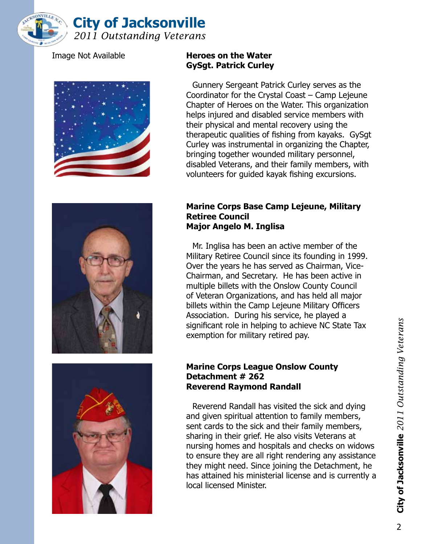







# Image Not Available **Heroes on the Water GySgt. Patrick Curley**

Gunnery Sergeant Patrick Curley serves as the Coordinator for the Crystal Coast – Camp Lejeune Chapter of Heroes on the Water. This organization helps injured and disabled service members with their physical and mental recovery using the therapeutic qualities of fishing from kayaks. GySgt Curley was instrumental in organizing the Chapter, bringing together wounded military personnel, disabled Veterans, and their family members, with volunteers for guided kayak fishing excursions.

#### **Marine Corps Base Camp Lejeune, Military Retiree Council Major Angelo M. Inglisa**

Mr. Inglisa has been an active member of the Military Retiree Council since its founding in 1999. Over the years he has served as Chairman, Vice-Chairman, and Secretary. He has been active in multiple billets with the Onslow County Council of Veteran Organizations, and has held all major billets within the Camp Lejeune Military Officers Association. During his service, he played a significant role in helping to achieve NC State Tax exemption for military retired pay.

## **Marine Corps League Onslow County Detachment # 262 Reverend Raymond Randall**

Reverend Randall has visited the sick and dying and given spiritual attention to family members, sent cards to the sick and their family members, sharing in their grief. He also visits Veterans at nursing homes and hospitals and checks on widows to ensure they are all right rendering any assistance they might need. Since joining the Detachment, he has attained his ministerial license and is currently a local licensed Minister.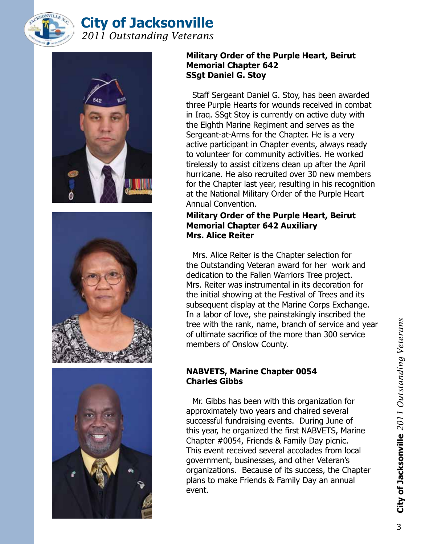







# **Military Order of the Purple Heart, Beirut Memorial Chapter 642 SSgt Daniel G. Stoy**

Staff Sergeant Daniel G. Stoy, has been awarded three Purple Hearts for wounds received in combat in Iraq. SSgt Stoy is currently on active duty with the Eighth Marine Regiment and serves as the Sergeant-at-Arms for the Chapter. He is a very active participant in Chapter events, always ready to volunteer for community activities. He worked tirelessly to assist citizens clean up after the April hurricane. He also recruited over 30 new members for the Chapter last year, resulting in his recognition at the National Military Order of the Purple Heart Annual Convention.

# **Military Order of the Purple Heart, Beirut Memorial Chapter 642 Auxiliary Mrs. Alice Reiter**

Mrs. Alice Reiter is the Chapter selection for the Outstanding Veteran award for her work and dedication to the Fallen Warriors Tree project. Mrs. Reiter was instrumental in its decoration for the initial showing at the Festival of Trees and its subsequent display at the Marine Corps Exchange. In a labor of love, she painstakingly inscribed the tree with the rank, name, branch of service and year of ultimate sacrifice of the more than 300 service members of Onslow County.

# **NABVETS, Marine Chapter 0054 Charles Gibbs**

Mr. Gibbs has been with this organization for approximately two years and chaired several successful fundraising events. During June of this year, he organized the first NABVETS, Marine Chapter #0054, Friends & Family Day picnic. This event received several accolades from local government, businesses, and other Veteran's organizations. Because of its success, the Chapter plans to make Friends & Family Day an annual event.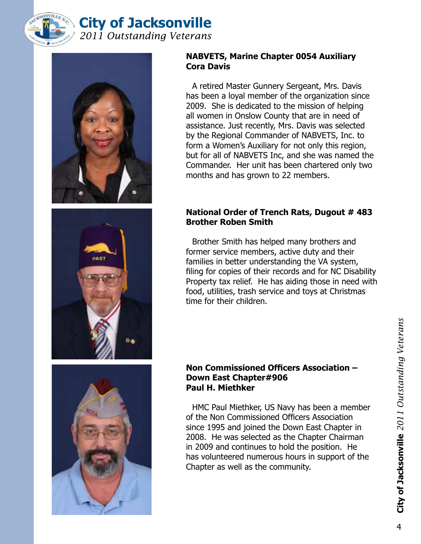



## **NABVETS, Marine Chapter 0054 Auxiliary Cora Davis**

A retired Master Gunnery Sergeant, Mrs. Davis has been a loyal member of the organization since 2009. She is dedicated to the mission of helping all women in Onslow County that are in need of assistance. Just recently, Mrs. Davis was selected by the Regional Commander of NABVETS, Inc. to form a Women's Auxiliary for not only this region, but for all of NABVETS Inc, and she was named the Commander. Her unit has been chartered only two months and has grown to 22 members.

# **National Order of Trench Rats, Dugout # 483 Brother Roben Smith**

Brother Smith has helped many brothers and former service members, active duty and their families in better understanding the VA system, filing for copies of their records and for NC Disability Property tax relief. He has aiding those in need with food, utilities, trash service and toys at Christmas time for their children.



## **Non Commissioned Officers Association – Down East Chapter#906 Paul H. Miethker**

HMC Paul Miethker, US Navy has been a member of the Non Commissioned Officers Association since 1995 and joined the Down East Chapter in 2008. He was selected as the Chapter Chairman in 2009 and continues to hold the position. He has volunteered numerous hours in support of the Chapter as well as the community.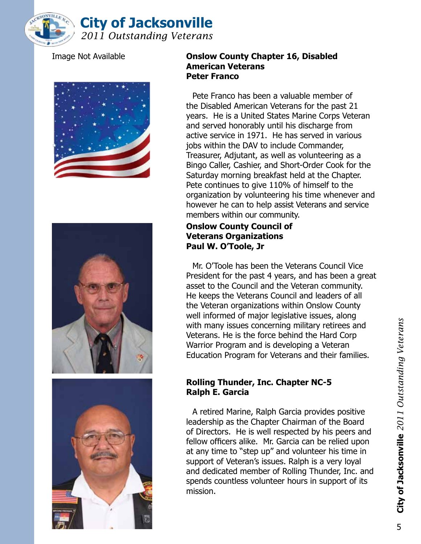







#### Image Not Available **Onslow County Chapter 16, Disabled American Veterans Peter Franco**

Pete Franco has been a valuable member of the Disabled American Veterans for the past 21 years. He is a United States Marine Corps Veteran and served honorably until his discharge from active service in 1971. He has served in various jobs within the DAV to include Commander, Treasurer, Adjutant, as well as volunteering as a Bingo Caller, Cashier, and Short-Order Cook for the Saturday morning breakfast held at the Chapter. Pete continues to give 110% of himself to the organization by volunteering his time whenever and however he can to help assist Veterans and service members within our community.

# **Onslow County Council of Veterans Organizations Paul W. O'Toole, Jr**

Mr. O'Toole has been the Veterans Council Vice President for the past 4 years, and has been a great asset to the Council and the Veteran community. He keeps the Veterans Council and leaders of all the Veteran organizations within Onslow County well informed of major legislative issues, along with many issues concerning military retirees and Veterans. He is the force behind the Hard Corp Warrior Program and is developing a Veteran Education Program for Veterans and their families.

# **Rolling Thunder, Inc. Chapter NC-5 Ralph E. Garcia**

A retired Marine, Ralph Garcia provides positive leadership as the Chapter Chairman of the Board of Directors. He is well respected by his peers and fellow officers alike. Mr. Garcia can be relied upon at any time to "step up" and volunteer his time in support of Veteran's issues. Ralph is a very loyal and dedicated member of Rolling Thunder, Inc. and spends countless volunteer hours in support of its mission.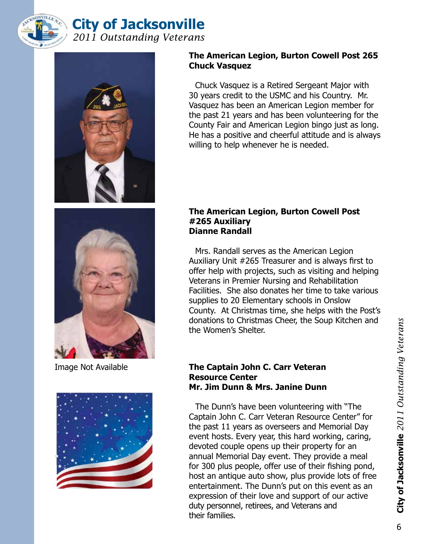



# **The American Legion, Burton Cowell Post 265 Chuck Vasquez**

Chuck Vasquez is a Retired Sergeant Major with 30 years credit to the USMC and his Country. Mr. Vasquez has been an American Legion member for the past 21 years and has been volunteering for the County Fair and American Legion bingo just as long. He has a positive and cheerful attitude and is always willing to help whenever he is needed.





## **The American Legion, Burton Cowell Post #265 Auxiliary Dianne Randall**

Mrs. Randall serves as the American Legion Auxiliary Unit #265 Treasurer and is always first to offer help with projects, such as visiting and helping Veterans in Premier Nursing and Rehabilitation Facilities. She also donates her time to take various supplies to 20 Elementary schools in Onslow County. At Christmas time, she helps with the Post's donations to Christmas Cheer, the Soup Kitchen and the Women's Shelter.

## Image Not Available **The Captain John C. Carr Veteran Resource Center Mr. Jim Dunn & Mrs. Janine Dunn**

The Dunn's have been volunteering with "The Captain John C. Carr Veteran Resource Center" for the past 11 years as overseers and Memorial Day event hosts. Every year, this hard working, caring, devoted couple opens up their property for an annual Memorial Day event. They provide a meal for 300 plus people, offer use of their fishing pond, host an antique auto show, plus provide lots of free entertainment. The Dunn's put on this event as an expression of their love and support of our active duty personnel, retirees, and Veterans and their families.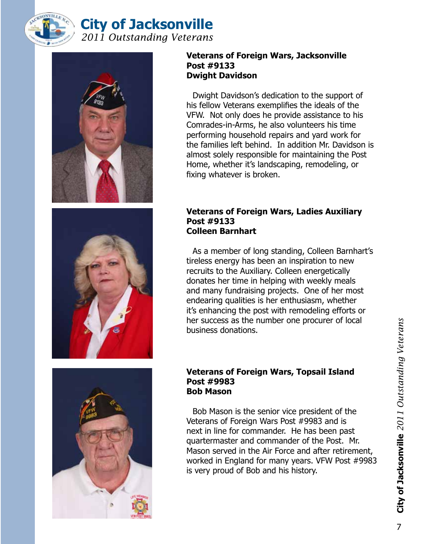



## **Veterans of Foreign Wars, Jacksonville Post #9133 Dwight Davidson**

Dwight Davidson's dedication to the support of his fellow Veterans exemplifies the ideals of the VFW. Not only does he provide assistance to his Comrades-in-Arms, he also volunteers his time performing household repairs and yard work for the families left behind. In addition Mr. Davidson is almost solely responsible for maintaining the Post Home, whether it's landscaping, remodeling, or fixing whatever is broken.



#### **Veterans of Foreign Wars, Ladies Auxiliary Post #9133 Colleen Barnhart**

As a member of long standing, Colleen Barnhart's tireless energy has been an inspiration to new recruits to the Auxiliary. Colleen energetically donates her time in helping with weekly meals and many fundraising projects. One of her most endearing qualities is her enthusiasm, whether it's enhancing the post with remodeling efforts or her success as the number one procurer of local business donations.

#### **Veterans of Foreign Wars, Topsail Island Post #9983 Bob Mason**

Bob Mason is the senior vice president of the Veterans of Foreign Wars Post #9983 and is next in line for commander. He has been past quartermaster and commander of the Post. Mr. Mason served in the Air Force and after retirement, worked in England for many years. VFW Post #9983 is very proud of Bob and his history.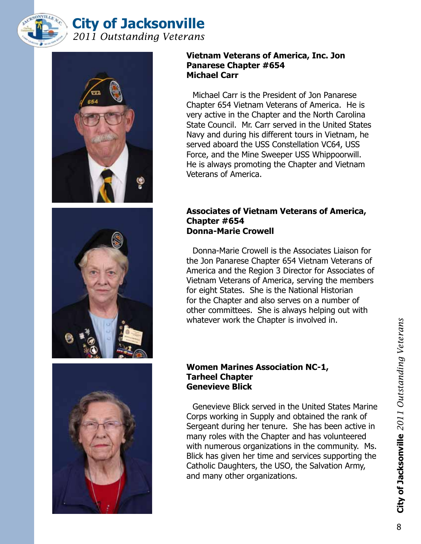



#### **Vietnam Veterans of America, Inc. Jon Panarese Chapter #654 Michael Carr**

Michael Carr is the President of Jon Panarese Chapter 654 Vietnam Veterans of America. He is very active in the Chapter and the North Carolina State Council. Mr. Carr served in the United States Navy and during his different tours in Vietnam, he served aboard the USS Constellation VC64, USS Force, and the Mine Sweeper USS Whippoorwill. He is always promoting the Chapter and Vietnam Veterans of America.

## **Associates of Vietnam Veterans of America, Chapter #654 Donna-Marie Crowell**

Donna-Marie Crowell is the Associates Liaison for the Jon Panarese Chapter 654 Vietnam Veterans of America and the Region 3 Director for Associates of Vietnam Veterans of America, serving the members for eight States. She is the National Historian for the Chapter and also serves on a number of other committees. She is always helping out with whatever work the Chapter is involved in.

# **Women Marines Association NC-1, Tarheel Chapter Genevieve Blick**

Genevieve Blick served in the United States Marine Corps working in Supply and obtained the rank of Sergeant during her tenure. She has been active in many roles with the Chapter and has volunteered with numerous organizations in the community. Ms. Blick has given her time and services supporting the Catholic Daughters, the USO, the Salvation Army, and many other organizations.